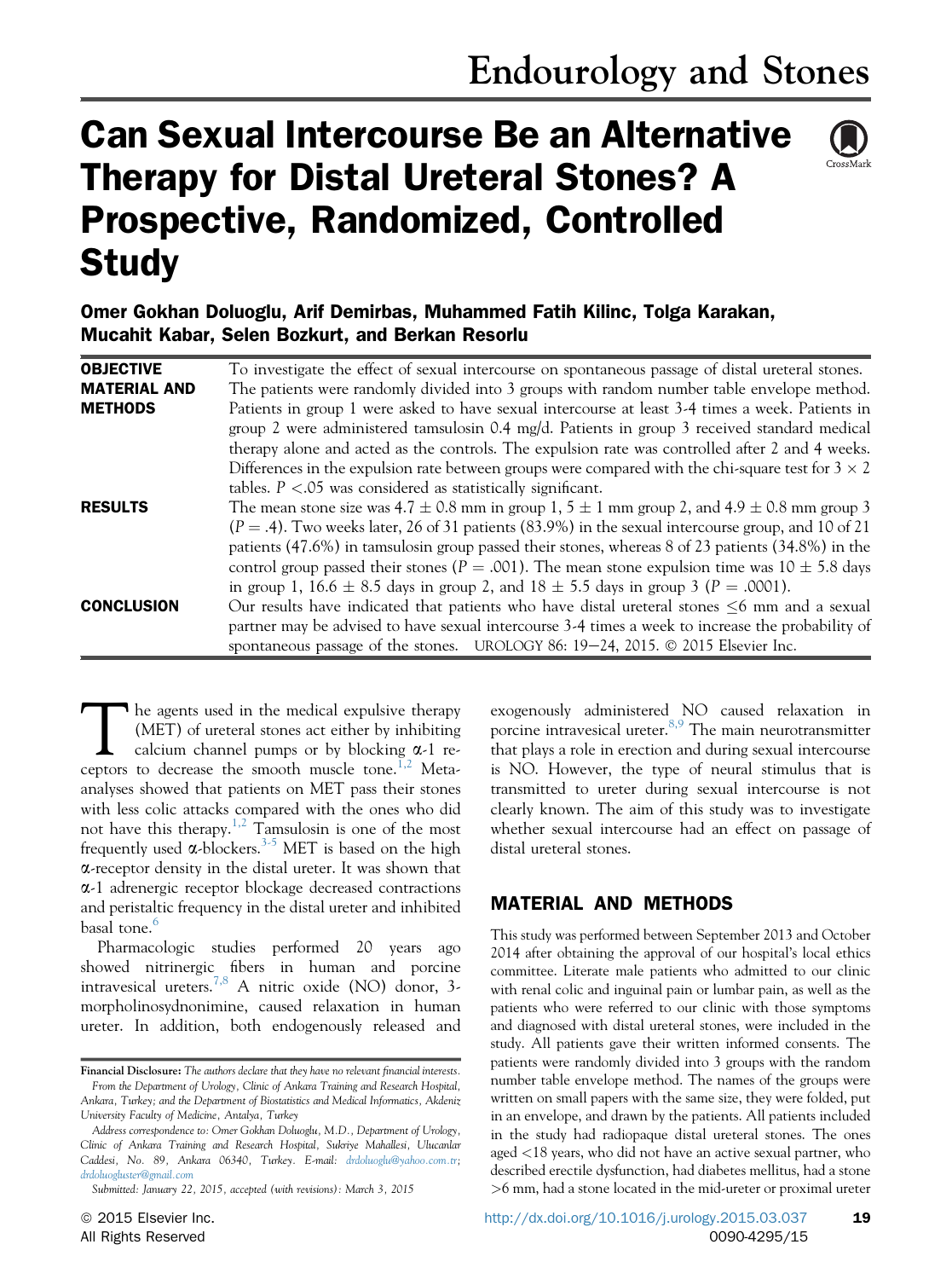# Can Sexual Intercourse Be an Alternative Therapy for Distal Ureteral Stones? A Prospective, Randomized, Controlled **Study**



## Omer Gokhan Doluoglu, Arif Demirbas, Muhammed Fatih Kilinc, Tolga Karakan, Mucahit Kabar, Selen Bozkurt, and Berkan Resorlu

| <b>OBJECTIVE</b>    | To investigate the effect of sexual intercourse on spontaneous passage of distal ureteral stones.        |
|---------------------|----------------------------------------------------------------------------------------------------------|
| <b>MATERIAL AND</b> | The patients were randomly divided into 3 groups with random number table envelope method.               |
| <b>METHODS</b>      | Patients in group 1 were asked to have sexual intercourse at least 3-4 times a week. Patients in         |
|                     | group 2 were administered tamsulosin $0.4 \text{ mg/d}$ . Patients in group 3 received standard medical  |
|                     | therapy alone and acted as the controls. The expulsion rate was controlled after 2 and 4 weeks.          |
|                     | Differences in the expulsion rate between groups were compared with the chi-square test for $3 \times 2$ |
|                     | tables. $P < 0.05$ was considered as statistically significant.                                          |
| <b>RESULTS</b>      | The mean stone size was 4.7 $\pm$ 0.8 mm in group 1, 5 $\pm$ 1 mm group 2, and 4.9 $\pm$ 0.8 mm group 3  |
|                     | $(P = .4)$ . Two weeks later, 26 of 31 patients (83.9%) in the sexual intercourse group, and 10 of 21    |
|                     | patients (47.6%) in tamsulosin group passed their stones, whereas 8 of 23 patients (34.8%) in the        |
|                     | control group passed their stones ( $P = .001$ ). The mean stone expulsion time was 10 $\pm$ 5.8 days    |
|                     | in group 1, 16.6 $\pm$ 8.5 days in group 2, and 18 $\pm$ 5.5 days in group 3 (P = .0001).                |
| <b>CONCLUSION</b>   | Our results have indicated that patients who have distal ureteral stones $\leq 6$ mm and a sexual        |
|                     | partner may be advised to have sexual intercourse 3-4 times a week to increase the probability of        |
|                     | spontaneous passage of the stones. UROLOGY 86: 19–24, 2015. © 2015 Elsevier Inc.                         |

The agents used in the medical expulsive therapy<br>
(MET) of ureteral stones act either by inhibiting<br>
calcium channel pumps or by blocking  $\alpha$ -1 re-<br>
centors to decrease the smooth muscle tone<sup>1,2</sup> Meta-(MET) of ureteral stones act either by inhibiting ceptors to decrease the smooth muscle tone.<sup>1,2</sup> Metaanalyses showed that patients on MET pass their stones with less colic attacks compared with the ones who did not have this therapy.[1,2](#page-3-0) Tamsulosin is one of the most frequently used  $\alpha$ -blockers.<sup>[3-5](#page-4-0)</sup> MET is based on the high a-receptor density in the distal ureter. It was shown that a-1 adrenergic receptor blockage decreased contractions and peristaltic frequency in the distal ureter and inhibited basal tone.<sup>[6](#page-4-0)</sup>

Pharmacologic studies performed 20 years ago showed nitrinergic fibers in human and porcine intravesical ureters.<sup>[7,8](#page-4-0)</sup> A nitric oxide (NO) donor, 3morpholinosydnonimine, caused relaxation in human ureter. In addition, both endogenously released and

exogenously administered NO caused relaxation in porcine intravesical ureter. $8,9$  The main neurotransmitter that plays a role in erection and during sexual intercourse is NO. However, the type of neural stimulus that is transmitted to ureter during sexual intercourse is not clearly known. The aim of this study was to investigate whether sexual intercourse had an effect on passage of distal ureteral stones.

### MATERIAL AND METHODS

This study was performed between September 2013 and October 2014 after obtaining the approval of our hospital's local ethics committee. Literate male patients who admitted to our clinic with renal colic and inguinal pain or lumbar pain, as well as the patients who were referred to our clinic with those symptoms and diagnosed with distal ureteral stones, were included in the study. All patients gave their written informed consents. The patients were randomly divided into 3 groups with the random number table envelope method. The names of the groups were written on small papers with the same size, they were folded, put in an envelope, and drawn by the patients. All patients included in the study had radiopaque distal ureteral stones. The ones aged <18 years, who did not have an active sexual partner, who described erectile dysfunction, had diabetes mellitus, had a stone >6 mm, had a stone located in the mid-ureter or proximal ureter

Financial Disclosure: The authors declare that they have no relevant financial interests. From the Department of Urology, Clinic of Ankara Training and Research Hospital, Ankara, Turkey; and the Department of Biostatistics and Medical Informatics, Akdeniz University Faculty of Medicine, Antalya, Turkey

Address correspondence to: Omer Gokhan Doluoglu, M.D., Department of Urology, Clinic of Ankara Training and Research Hospital, Sukriye Mahallesi, Ulucanlar Caddesi, No. 89, Ankara 06340, Turkey. E-mail: [drdoluoglu@yahoo.com.tr;](mailto:drdoluoglu@yahoo.com.tr) [drdoluogluster@gmail.com](mailto:drdoluogluster@gmail.com)

Submitted: January 22, 2015, accepted (with revisions): March 3, 2015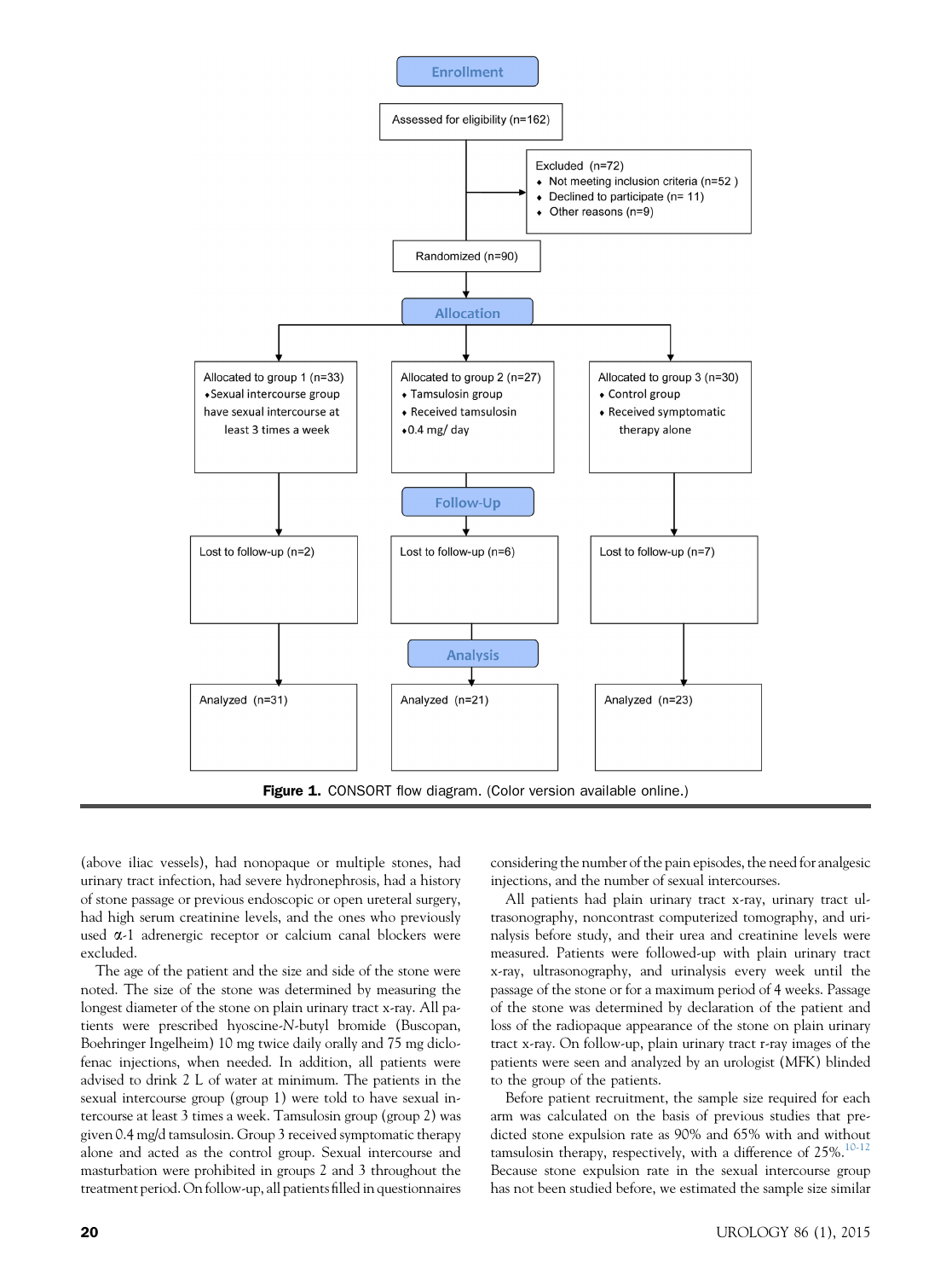<span id="page-1-0"></span>

(above iliac vessels), had nonopaque or multiple stones, had urinary tract infection, had severe hydronephrosis, had a history of stone passage or previous endoscopic or open ureteral surgery, had high serum creatinine levels, and the ones who previously used a-1 adrenergic receptor or calcium canal blockers were excluded.

The age of the patient and the size and side of the stone were noted. The size of the stone was determined by measuring the longest diameter of the stone on plain urinary tract x-ray. All patients were prescribed hyoscine-N-butyl bromide (Buscopan, Boehringer Ingelheim) 10 mg twice daily orally and 75 mg diclofenac injections, when needed. In addition, all patients were advised to drink 2 L of water at minimum. The patients in the sexual intercourse group (group 1) were told to have sexual intercourse at least 3 times a week. Tamsulosin group (group 2) was given 0.4 mg/d tamsulosin. Group 3 received symptomatic therapy alone and acted as the control group. Sexual intercourse and masturbation were prohibited in groups 2 and 3 throughout the treatment period. On follow-up, all patients filled in questionnaires

considering the number of the pain episodes, the need for analgesic injections, and the number of sexual intercourses.

All patients had plain urinary tract x-ray, urinary tract ultrasonography, noncontrast computerized tomography, and urinalysis before study, and their urea and creatinine levels were measured. Patients were followed-up with plain urinary tract x-ray, ultrasonography, and urinalysis every week until the passage of the stone or for a maximum period of 4 weeks. Passage of the stone was determined by declaration of the patient and loss of the radiopaque appearance of the stone on plain urinary tract x-ray. On follow-up, plain urinary tract r-ray images of the patients were seen and analyzed by an urologist (MFK) blinded to the group of the patients.

Before patient recruitment, the sample size required for each arm was calculated on the basis of previous studies that predicted stone expulsion rate as 90% and 65% with and without tamsulosin therapy, respectively, with a difference of  $25\%$ .<sup>[10-12](#page-4-0)</sup> Because stone expulsion rate in the sexual intercourse group has not been studied before, we estimated the sample size similar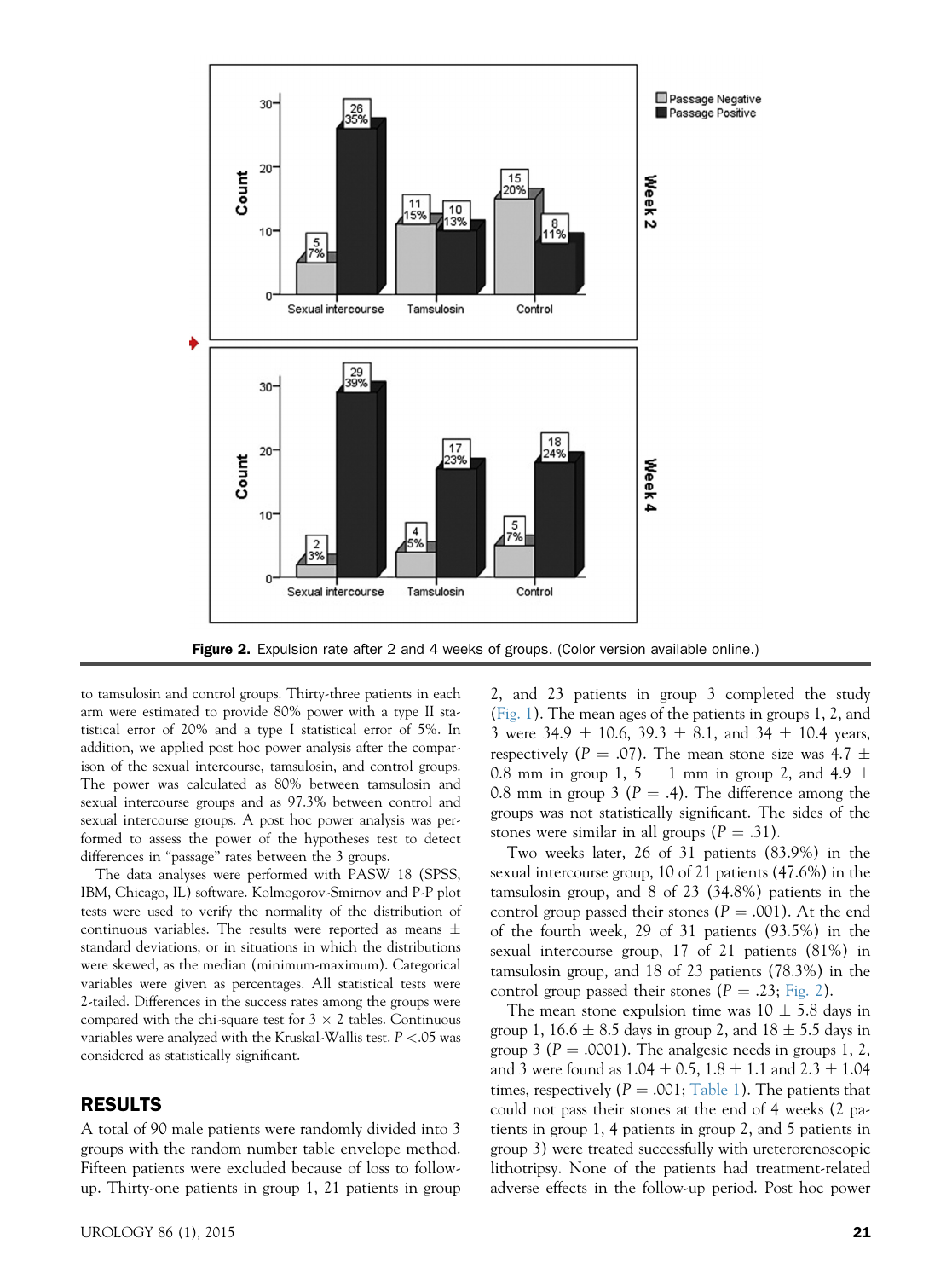

Figure 2. Expulsion rate after 2 and 4 weeks of groups. (Color version available online.)

to tamsulosin and control groups. Thirty-three patients in each arm were estimated to provide 80% power with a type II statistical error of 20% and a type I statistical error of 5%. In addition, we applied post hoc power analysis after the comparison of the sexual intercourse, tamsulosin, and control groups. The power was calculated as 80% between tamsulosin and sexual intercourse groups and as 97.3% between control and sexual intercourse groups. A post hoc power analysis was performed to assess the power of the hypotheses test to detect differences in "passage" rates between the 3 groups.

The data analyses were performed with PASW 18 (SPSS, IBM, Chicago, IL) software. Kolmogorov-Smirnov and P-P plot tests were used to verify the normality of the distribution of continuous variables. The results were reported as means  $\pm$ standard deviations, or in situations in which the distributions were skewed, as the median (minimum-maximum). Categorical variables were given as percentages. All statistical tests were 2-tailed. Differences in the success rates among the groups were compared with the chi-square test for  $3 \times 2$  tables. Continuous variables were analyzed with the Kruskal-Wallis test.  $P < 05$  was considered as statistically significant.

#### RESULTS

A total of 90 male patients were randomly divided into 3 groups with the random number table envelope method. Fifteen patients were excluded because of loss to followup. Thirty-one patients in group 1, 21 patients in group

2, and 23 patients in group 3 completed the study ([Fig. 1\)](#page-1-0). The mean ages of the patients in groups 1, 2, and 3 were  $34.9 \pm 10.6$ ,  $39.3 \pm 8.1$ , and  $34 \pm 10.4$  years, respectively ( $P = .07$ ). The mean stone size was 4.7  $\pm$ 0.8 mm in group 1, 5  $\pm$  1 mm in group 2, and 4.9  $\pm$ 0.8 mm in group 3 ( $P = .4$ ). The difference among the groups was not statistically significant. The sides of the stones were similar in all groups  $(P = .31)$ .

Two weeks later, 26 of 31 patients (83.9%) in the sexual intercourse group, 10 of 21 patients (47.6%) in the tamsulosin group, and 8 of 23 (34.8%) patients in the control group passed their stones ( $P = .001$ ). At the end of the fourth week, 29 of 31 patients (93.5%) in the sexual intercourse group, 17 of 21 patients (81%) in tamsulosin group, and 18 of 23 patients (78.3%) in the control group passed their stones ( $P = .23$ ; Fig. 2).

The mean stone expulsion time was  $10 \pm 5.8$  days in group 1, 16.6  $\pm$  8.5 days in group 2, and 18  $\pm$  5.5 days in group 3 ( $P = .0001$ ). The analgesic needs in groups 1, 2, and 3 were found as  $1.04 \pm 0.5$ ,  $1.8 \pm 1.1$  and  $2.3 \pm 1.04$ times, respectively ( $P = .001$ ; [Table 1](#page-3-0)). The patients that could not pass their stones at the end of 4 weeks (2 patients in group 1, 4 patients in group 2, and 5 patients in group 3) were treated successfully with ureterorenoscopic lithotripsy. None of the patients had treatment-related adverse effects in the follow-up period. Post hoc power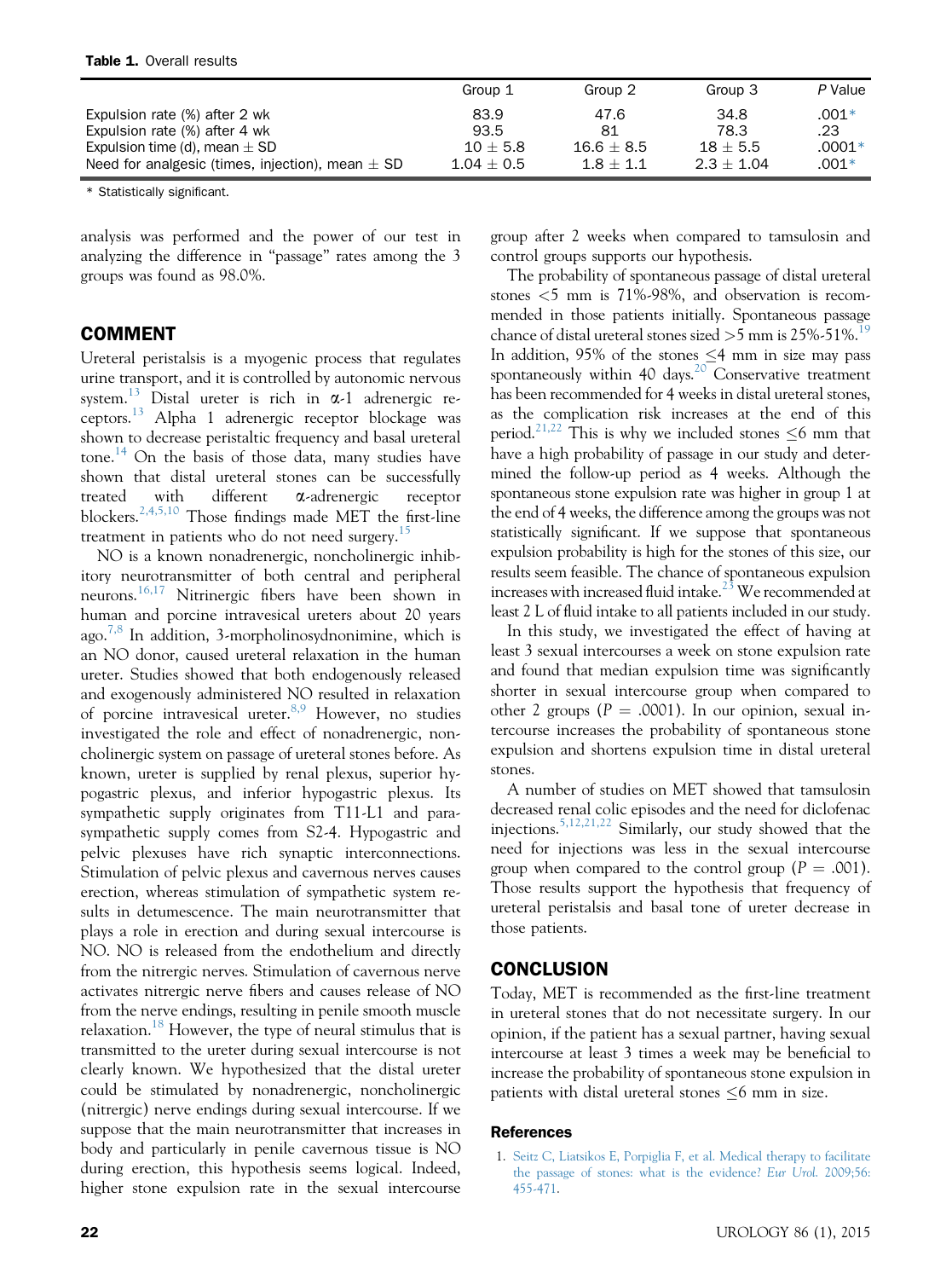<span id="page-3-0"></span>

|                                                      | Group 1      | Group 2      | Group 3      | P Value  |
|------------------------------------------------------|--------------|--------------|--------------|----------|
| Expulsion rate (%) after 2 wk                        | 83.9         | 47.6         | 34.8         | $.001*$  |
| Expulsion rate (%) after 4 wk                        | 93.5         | 81           | 78.3         | .23      |
| Expulsion time (d), mean $\pm$ SD                    | $10 + 5.8$   | $16.6 + 8.5$ | $18 + 5.5$   | $.0001*$ |
| Need for analgesic (times, injection), mean $\pm$ SD | $1.04 + 0.5$ | $1.8 + 1.1$  | $2.3 + 1.04$ | $.001*$  |

\* Statistically significant.

analysis was performed and the power of our test in analyzing the difference in "passage" rates among the 3 groups was found as 98.0%.

#### COMMENT

Ureteral peristalsis is a myogenic process that regulates urine transport, and it is controlled by autonomic nervous system.<sup>[13](#page-4-0)</sup> Distal ureter is rich in  $\alpha$ -1 adrenergic re $c$ eptors.<sup>[13](#page-4-0)</sup> Alpha 1 adrenergic receptor blockage was shown to decrease peristaltic frequency and basal ureteral tone.<sup>[14](#page-4-0)</sup> On the basis of those data, many studies have shown that distal ureteral stones can be successfully treated with different a-adrenergic receptor blockers.[2,4,5,10](#page-4-0) Those findings made MET the first-line treatment in patients who do not need surgery.<sup>[15](#page-4-0)</sup>

NO is a known nonadrenergic, noncholinergic inhibitory neurotransmitter of both central and peripheral neurons.[16,17](#page-4-0) Nitrinergic fibers have been shown in human and porcine intravesical ureters about 20 years ago.<sup>[7,8](#page-4-0)</sup> In addition, 3-morpholinosydnonimine, which is an NO donor, caused ureteral relaxation in the human ureter. Studies showed that both endogenously released and exogenously administered NO resulted in relaxation of porcine intravesical ureter.<sup>[8,9](#page-4-0)</sup> However, no studies investigated the role and effect of nonadrenergic, noncholinergic system on passage of ureteral stones before. As known, ureter is supplied by renal plexus, superior hypogastric plexus, and inferior hypogastric plexus. Its sympathetic supply originates from T11-L1 and parasympathetic supply comes from S2-4. Hypogastric and pelvic plexuses have rich synaptic interconnections. Stimulation of pelvic plexus and cavernous nerves causes erection, whereas stimulation of sympathetic system results in detumescence. The main neurotransmitter that plays a role in erection and during sexual intercourse is NO. NO is released from the endothelium and directly from the nitrergic nerves. Stimulation of cavernous nerve activates nitrergic nerve fibers and causes release of NO from the nerve endings, resulting in penile smooth muscle relaxation.<sup>[18](#page-4-0)</sup> However, the type of neural stimulus that is transmitted to the ureter during sexual intercourse is not clearly known. We hypothesized that the distal ureter could be stimulated by nonadrenergic, noncholinergic (nitrergic) nerve endings during sexual intercourse. If we suppose that the main neurotransmitter that increases in body and particularly in penile cavernous tissue is NO during erection, this hypothesis seems logical. Indeed, higher stone expulsion rate in the sexual intercourse

group after 2 weeks when compared to tamsulosin and control groups supports our hypothesis.

The probability of spontaneous passage of distal ureteral stones <5 mm is 71%-98%, and observation is recommended in those patients initially. Spontaneous passage chance of distal ureteral stones sized  $>5$  mm is 25%-51%.<sup>[19](#page-4-0)</sup> In addition, 95% of the stones  $\leq$ 4 mm in size may pass spontaneously within 40 days.<sup>20</sup> Conservative treatment has been recommended for 4 weeks in distal ureteral stones, as the complication risk increases at the end of this period.<sup>21,22</sup> This is why we included stones  $\leq 6$  mm that have a high probability of passage in our study and determined the follow-up period as 4 weeks. Although the spontaneous stone expulsion rate was higher in group 1 at the end of 4 weeks, the difference among the groups was not statistically significant. If we suppose that spontaneous expulsion probability is high for the stones of this size, our results seem feasible. The chance of spontaneous expulsion increases with increased fluid intake.<sup>23</sup> We recommended at least 2 L of fluid intake to all patients included in our study.

In this study, we investigated the effect of having at least 3 sexual intercourses a week on stone expulsion rate and found that median expulsion time was significantly shorter in sexual intercourse group when compared to other 2 groups ( $P = .0001$ ). In our opinion, sexual intercourse increases the probability of spontaneous stone expulsion and shortens expulsion time in distal ureteral stones.

A number of studies on MET showed that tamsulosin decreased renal colic episodes and the need for diclofenac injections.[5,12,21,22](#page-4-0) Similarly, our study showed that the need for injections was less in the sexual intercourse group when compared to the control group  $(P = .001)$ . Those results support the hypothesis that frequency of ureteral peristalsis and basal tone of ureter decrease in those patients.

### CONCLUSION

Today, MET is recommended as the first-line treatment in ureteral stones that do not necessitate surgery. In our opinion, if the patient has a sexual partner, having sexual intercourse at least 3 times a week may be beneficial to increase the probability of spontaneous stone expulsion in patients with distal ureteral stones  $\leq 6$  mm in size.

#### References

1. [Seitz C, Liatsikos E, Porpiglia F, et al. Medical therapy to facilitate](http://refhub.elsevier.com/S0090-4295(15)00347-7/sref1) [the passage of stones: what is the evidence?](http://refhub.elsevier.com/S0090-4295(15)00347-7/sref1) Eur Urol. 2009;56: [455-471](http://refhub.elsevier.com/S0090-4295(15)00347-7/sref1).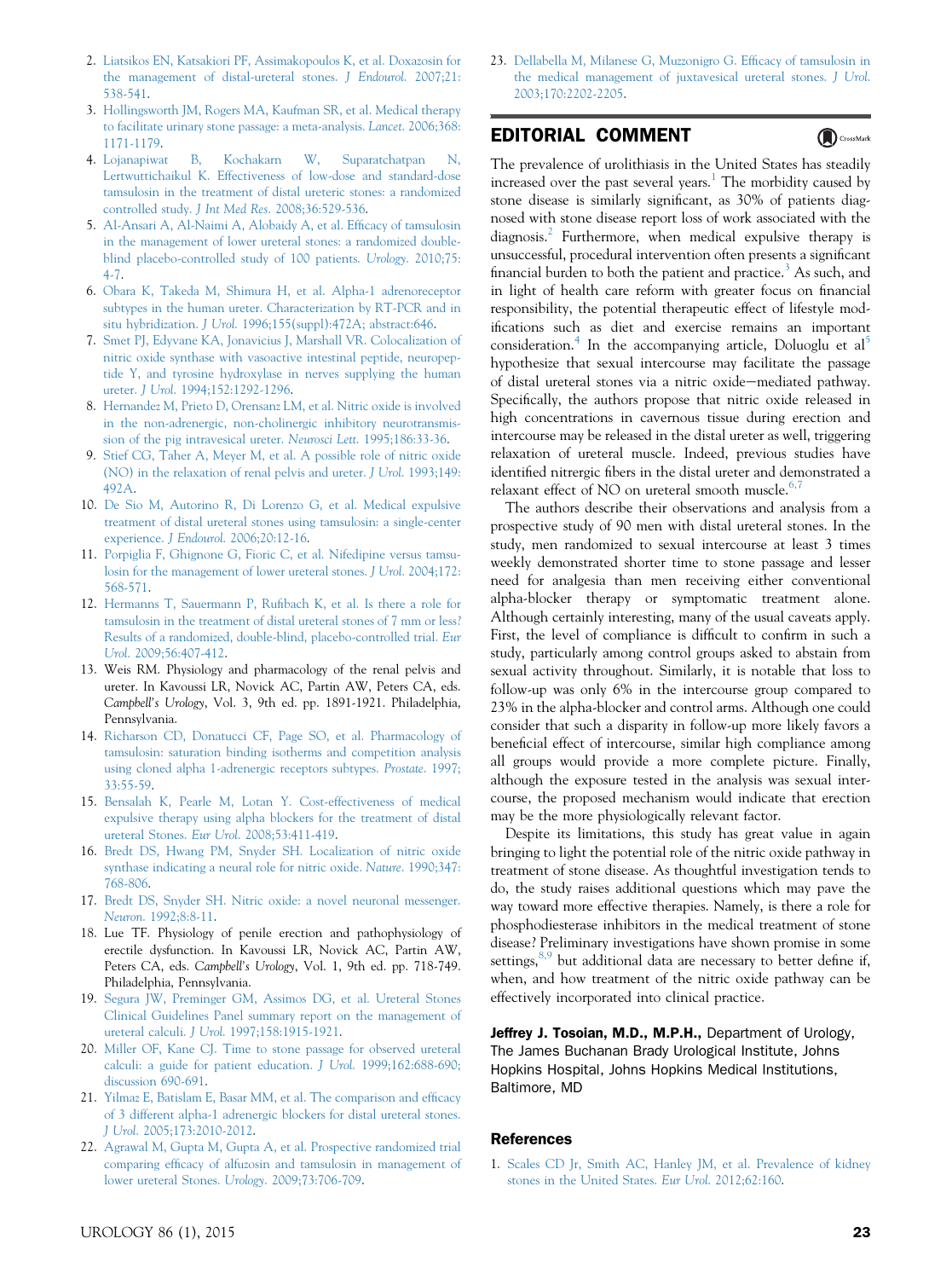- <span id="page-4-0"></span>2. [Liatsikos EN, Katsakiori PF, Assimakopoulos K, et al. Doxazosin for](http://refhub.elsevier.com/S0090-4295(15)00347-7/sref2) [the management of distal-ureteral stones.](http://refhub.elsevier.com/S0090-4295(15)00347-7/sref2) J Endourol. 2007;21: [538-541.](http://refhub.elsevier.com/S0090-4295(15)00347-7/sref2)
- 3. [Hollingsworth JM, Rogers MA, Kaufman SR, et al. Medical therapy](http://refhub.elsevier.com/S0090-4295(15)00347-7/sref3) [to facilitate urinary stone passage: a meta-analysis.](http://refhub.elsevier.com/S0090-4295(15)00347-7/sref3) Lancet. 2006;368: [1171-1179.](http://refhub.elsevier.com/S0090-4295(15)00347-7/sref3)
- 4. [Lojanapiwat B, Kochakarn W, Suparatchatpan N,](http://refhub.elsevier.com/S0090-4295(15)00347-7/sref4) [Lertwuttichaikul K. Effectiveness of low-dose and standard-dose](http://refhub.elsevier.com/S0090-4295(15)00347-7/sref4) [tamsulosin in the treatment of distal ureteric stones: a randomized](http://refhub.elsevier.com/S0090-4295(15)00347-7/sref4) controlled study. J Int Med Res[. 2008;36:529-536](http://refhub.elsevier.com/S0090-4295(15)00347-7/sref4).
- 5. [Al-Ansari A, Al-Naimi A, Alobaidy A, et al. Ef](http://refhub.elsevier.com/S0090-4295(15)00347-7/sref5)ficacy of tamsulosin [in the management of lower ureteral stones: a randomized double](http://refhub.elsevier.com/S0090-4295(15)00347-7/sref5)[blind placebo-controlled study of 100 patients.](http://refhub.elsevier.com/S0090-4295(15)00347-7/sref5) Urology. 2010;75: [4-7](http://refhub.elsevier.com/S0090-4295(15)00347-7/sref5).
- 6. [Obara K, Takeda M, Shimura H, et al. Alpha-1 adrenoreceptor](http://refhub.elsevier.com/S0090-4295(15)00347-7/sref6) [subtypes in the human ureter. Characterization by RT-PCR and in](http://refhub.elsevier.com/S0090-4295(15)00347-7/sref6) situ hybridization. J Urol[. 1996;155\(suppl\):472A; abstract:646](http://refhub.elsevier.com/S0090-4295(15)00347-7/sref6).
- 7. [Smet PJ, Edyvane KA, Jonavicius J, Marshall VR. Colocalization of](http://refhub.elsevier.com/S0090-4295(15)00347-7/sref7) [nitric oxide synthase with vasoactive intestinal peptide, neuropep](http://refhub.elsevier.com/S0090-4295(15)00347-7/sref7)[tide Y, and tyrosine hydroxylase in nerves supplying the human](http://refhub.elsevier.com/S0090-4295(15)00347-7/sref7) ureter. J Urol[. 1994;152:1292-1296.](http://refhub.elsevier.com/S0090-4295(15)00347-7/sref7)
- 8. [Hernandez M, Prieto D, Orensanz LM, et al. Nitric oxide is involved](http://refhub.elsevier.com/S0090-4295(15)00347-7/sref8) [in the non-adrenergic, non-cholinergic inhibitory neurotransmis](http://refhub.elsevier.com/S0090-4295(15)00347-7/sref8)[sion of the pig intravesical ureter.](http://refhub.elsevier.com/S0090-4295(15)00347-7/sref8) Neurosci Lett. 1995;186:33-36.
- 9. [Stief CG, Taher A, Meyer M, et al. A possible role of nitric oxide](http://refhub.elsevier.com/S0090-4295(15)00347-7/sref9) [\(NO\) in the relaxation of renal pelvis and ureter.](http://refhub.elsevier.com/S0090-4295(15)00347-7/sref9) J Urol. 1993;149: [492A.](http://refhub.elsevier.com/S0090-4295(15)00347-7/sref9)
- 10. [De Sio M, Autorino R, Di Lorenzo G, et al. Medical expulsive](http://refhub.elsevier.com/S0090-4295(15)00347-7/sref10) [treatment of distal ureteral stones using tamsulosin: a single-center](http://refhub.elsevier.com/S0090-4295(15)00347-7/sref10) experience. J Endourol[. 2006;20:12-16.](http://refhub.elsevier.com/S0090-4295(15)00347-7/sref10)
- 11. [Porpiglia F, Ghignone G, Fioric C, et al. Nifedipine versus tamsu](http://refhub.elsevier.com/S0090-4295(15)00347-7/sref11)[losin for the management of lower ureteral stones.](http://refhub.elsevier.com/S0090-4295(15)00347-7/sref11) J Urol. 2004;172: [568-571.](http://refhub.elsevier.com/S0090-4295(15)00347-7/sref11)
- 12. Hermanns T, Sauermann P, Rufi[bach K, et al. Is there a role for](http://refhub.elsevier.com/S0090-4295(15)00347-7/sref12) [tamsulosin in the treatment of distal ureteral stones of 7 mm or less?](http://refhub.elsevier.com/S0090-4295(15)00347-7/sref12) [Results of a randomized, double-blind, placebo-controlled trial.](http://refhub.elsevier.com/S0090-4295(15)00347-7/sref12) Eur Urol[. 2009;56:407-412.](http://refhub.elsevier.com/S0090-4295(15)00347-7/sref12)
- 13. Weis RM. Physiology and pharmacology of the renal pelvis and ureter. In Kavoussi LR, Novick AC, Partin AW, Peters CA, eds. Campbell's Urology, Vol. 3, 9th ed. pp. 1891-1921. Philadelphia, Pennsylvania.
- 14. [Richarson CD, Donatucci CF, Page SO, et al. Pharmacology of](http://refhub.elsevier.com/S0090-4295(15)00347-7/sref13) [tamsulosin: saturation binding isotherms and competition analysis](http://refhub.elsevier.com/S0090-4295(15)00347-7/sref13) [using cloned alpha 1-adrenergic receptors subtypes.](http://refhub.elsevier.com/S0090-4295(15)00347-7/sref13) Prostate. 1997; [33:55-59.](http://refhub.elsevier.com/S0090-4295(15)00347-7/sref13)
- 15. [Bensalah K, Pearle M, Lotan Y. Cost-effectiveness of medical](http://refhub.elsevier.com/S0090-4295(15)00347-7/sref14) [expulsive therapy using alpha blockers for the treatment of distal](http://refhub.elsevier.com/S0090-4295(15)00347-7/sref14) ureteral Stones. Eur Urol[. 2008;53:411-419.](http://refhub.elsevier.com/S0090-4295(15)00347-7/sref14)
- 16. Bredt [DS, Hwang PM, Snyder SH. Localization of nitric oxide](http://refhub.elsevier.com/S0090-4295(15)00347-7/sref15) [synthase indicating a neural role for nitric oxide.](http://refhub.elsevier.com/S0090-4295(15)00347-7/sref15) Nature. 1990;347: [768-806.](http://refhub.elsevier.com/S0090-4295(15)00347-7/sref15)
- 17. [Bredt DS, Snyder SH. Nitric oxide: a novel neuronal messenger.](http://refhub.elsevier.com/S0090-4295(15)00347-7/sref16) Neuron[. 1992;8:8-11](http://refhub.elsevier.com/S0090-4295(15)00347-7/sref16).
- 18. Lue TF. Physiology of penile erection and pathophysiology of erectile dysfunction. In Kavoussi LR, Novick AC, Partin AW, Peters CA, eds. Campbell's Urology, Vol. 1, 9th ed. pp. 718-749. Philadelphia, Pennsylvania.
- 19. [Segura JW, Preminger GM, Assimos DG, et al. Ureteral Stones](http://refhub.elsevier.com/S0090-4295(15)00347-7/sref17) [Clinical Guidelines Panel summary report on the management of](http://refhub.elsevier.com/S0090-4295(15)00347-7/sref17) ureteral calculi. J Urol[. 1997;158:1915-1921](http://refhub.elsevier.com/S0090-4295(15)00347-7/sref17).
- 20. [Miller OF, Kane CJ. Time to stone passage for observed ureteral](http://refhub.elsevier.com/S0090-4295(15)00347-7/sref18) [calculi: a guide for patient education.](http://refhub.elsevier.com/S0090-4295(15)00347-7/sref18) J Urol. 1999;162:688-690; [discussion 690-691.](http://refhub.elsevier.com/S0090-4295(15)00347-7/sref18)
- 21. [Yilmaz E, Batislam E, Basar MM, et al. The comparison and ef](http://refhub.elsevier.com/S0090-4295(15)00347-7/sref19)ficacy [of 3 different alpha-1 adrenergic blockers for distal ureteral stones.](http://refhub.elsevier.com/S0090-4295(15)00347-7/sref19) J Urol[. 2005;173:2010-2012.](http://refhub.elsevier.com/S0090-4295(15)00347-7/sref19)
- 22. [Agrawal M, Gupta M, Gupta A, et al. Prospective randomized trial](http://refhub.elsevier.com/S0090-4295(15)00347-7/sref20) comparing effi[cacy of alfuzosin and tamsulosin in management of](http://refhub.elsevier.com/S0090-4295(15)00347-7/sref20) [lower ureteral Stones.](http://refhub.elsevier.com/S0090-4295(15)00347-7/sref20) Urology. 2009;73:706-709.

23. [Dellabella M, Milanese G, Muzzonigro G. Ef](http://refhub.elsevier.com/S0090-4295(15)00347-7/sref21)ficacy of tamsulosin in [the medical management of juxtavesical ureteral stones.](http://refhub.elsevier.com/S0090-4295(15)00347-7/sref21) J Urol. [2003;170:2202-2205](http://refhub.elsevier.com/S0090-4295(15)00347-7/sref21).

## EDITORIAL COMMENT

CrossMark

The prevalence of urolithiasis in the United States has steadily increased over the past several years.<sup>1</sup> The morbidity caused by stone disease is similarly significant, as 30% of patients diagnosed with stone disease report loss of work associated with the diagnosis.[2](#page-5-0) Furthermore, when medical expulsive therapy is unsuccessful, procedural intervention often presents a significant financial burden to both the patient and practice.<sup>[3](#page-5-0)</sup> As such, and in light of health care reform with greater focus on financial responsibility, the potential therapeutic effect of lifestyle modifications such as diet and exercise remains an important consideration.<sup>[4](#page-5-0)</sup> In the accompanying article, Doluoglu et al<sup>[5](#page-5-0)</sup> hypothesize that sexual intercourse may facilitate the passage of distal ureteral stones via a nitric oxide-mediated pathway. Specifically, the authors propose that nitric oxide released in high concentrations in cavernous tissue during erection and intercourse may be released in the distal ureter as well, triggering relaxation of ureteral muscle. Indeed, previous studies have identified nitrergic fibers in the distal ureter and demonstrated a relaxant effect of NO on ureteral smooth muscle. $6,7$ 

The authors describe their observations and analysis from a prospective study of 90 men with distal ureteral stones. In the study, men randomized to sexual intercourse at least 3 times weekly demonstrated shorter time to stone passage and lesser need for analgesia than men receiving either conventional alpha-blocker therapy or symptomatic treatment alone. Although certainly interesting, many of the usual caveats apply. First, the level of compliance is difficult to confirm in such a study, particularly among control groups asked to abstain from sexual activity throughout. Similarly, it is notable that loss to follow-up was only 6% in the intercourse group compared to 23% in the alpha-blocker and control arms. Although one could consider that such a disparity in follow-up more likely favors a beneficial effect of intercourse, similar high compliance among all groups would provide a more complete picture. Finally, although the exposure tested in the analysis was sexual intercourse, the proposed mechanism would indicate that erection may be the more physiologically relevant factor.

Despite its limitations, this study has great value in again bringing to light the potential role of the nitric oxide pathway in treatment of stone disease. As thoughtful investigation tends to do, the study raises additional questions which may pave the way toward more effective therapies. Namely, is there a role for phosphodiesterase inhibitors in the medical treatment of stone disease? Preliminary investigations have shown promise in some settings, $8,9$  but additional data are necessary to better define if, when, and how treatment of the nitric oxide pathway can be effectively incorporated into clinical practice.

Jeffrey J. Tosoian, M.D., M.P.H., Department of Urology, The James Buchanan Brady Urological Institute, Johns Hopkins Hospital, Johns Hopkins Medical Institutions, Baltimore, MD

#### References

1. [Scales CD Jr, Smith AC, Hanley JM, et al. Prevalence of kidney](http://refhub.elsevier.com/S0090-4295(15)00347-7/sref1) [stones in the United States.](http://refhub.elsevier.com/S0090-4295(15)00347-7/sref1) Eur Urol. 2012;62:160.